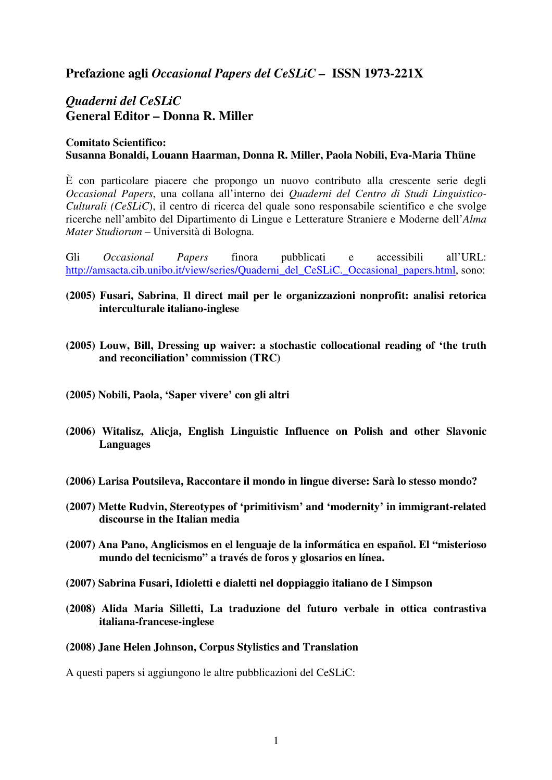## **Prefazione agli** *Occasional Papers del CeSLiC –* **ISSN 1973-221X**

# *Quaderni del CeSLiC*  **General Editor – Donna R. Miller**

## **Comitato Scientifico: Susanna Bonaldi, Louann Haarman, Donna R. Miller, Paola Nobili, Eva-Maria Thüne**

È con particolare piacere che propongo un nuovo contributo alla crescente serie degli *Occasional Papers*, una collana all'interno dei *Quaderni del Centro di Studi Linguistico-Culturali (CeSLiC*), il centro di ricerca del quale sono responsabile scientifico e che svolge ricerche nell'ambito del Dipartimento di Lingue e Letterature Straniere e Moderne dell'*Alma Mater Studiorum* – Università di Bologna.

Gli *Occasional Papers* finora pubblicati e accessibili all'URL: http://amsacta.cib.unibo.it/view/series/Quaderni\_del\_CeSLiC.\_Occasional\_papers.html, sono:

- **(2005) Fusari, Sabrina**, **Il direct mail per le organizzazioni nonprofit: analisi retorica interculturale italiano-inglese**
- **(2005) Louw, Bill, Dressing up waiver: a stochastic collocational reading of 'the truth and reconciliation' commission (TRC)**
- **(2005) Nobili, Paola, 'Saper vivere' con gli altri**
- **(2006) Witalisz, Alicja, English Linguistic Influence on Polish and other Slavonic Languages**
- **(2006) Larisa Poutsileva, Raccontare il mondo in lingue diverse: Sarà lo stesso mondo?**
- **(2007) Mette Rudvin, Stereotypes of 'primitivism' and 'modernity' in immigrant-related discourse in the Italian media**
- **(2007) Ana Pano, Anglicismos en el lenguaje de la informática en español. El "misterioso mundo del tecnicismo" a través de foros y glosarios en línea.**
- **(2007) Sabrina Fusari, Idioletti e dialetti nel doppiaggio italiano de I Simpson**
- **(2008) Alida Maria Silletti, La traduzione del futuro verbale in ottica contrastiva italiana-francese-inglese**
- **(2008) Jane Helen Johnson, Corpus Stylistics and Translation**

A questi papers si aggiungono le altre pubblicazioni del CeSLiC: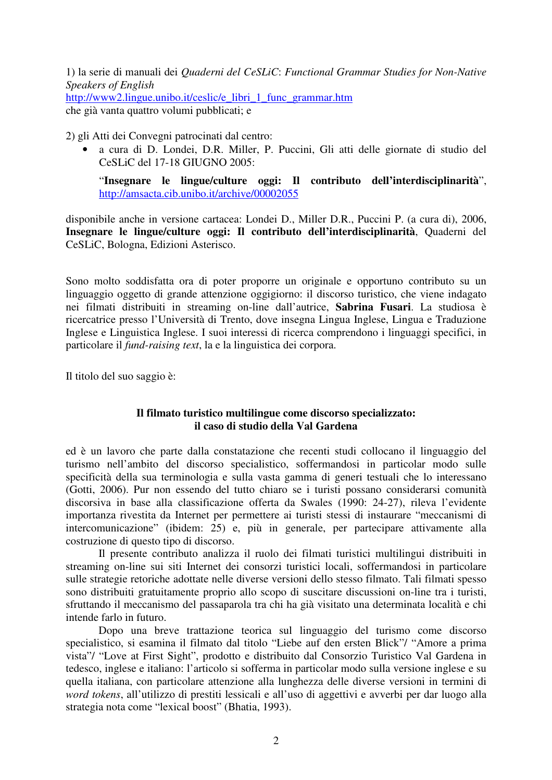1) la serie di manuali dei *Quaderni del CeSLiC*: *Functional Grammar Studies for Non-Native Speakers of English*  http://www2.lingue.unibo.it/ceslic/e\_libri\_1\_func\_grammar.htm che già vanta quattro volumi pubblicati; e

2) gli Atti dei Convegni patrocinati dal centro:

• a cura di D. Londei, D.R. Miller, P. Puccini, Gli atti delle giornate di studio del CeSLiC del 17-18 GIUGNO 2005:

"**Insegnare le lingue/culture oggi: Il contributo dell'interdisciplinarità**", http://amsacta.cib.unibo.it/archive/00002055

disponibile anche in versione cartacea: Londei D., Miller D.R., Puccini P. (a cura di), 2006, **Insegnare le lingue/culture oggi: Il contributo dell'interdisciplinarità**, Quaderni del CeSLiC, Bologna, Edizioni Asterisco.

Sono molto soddisfatta ora di poter proporre un originale e opportuno contributo su un linguaggio oggetto di grande attenzione oggigiorno: il discorso turistico, che viene indagato nei filmati distribuiti in streaming on-line dall'autrice, **Sabrina Fusari**. La studiosa è ricercatrice presso l'Università di Trento, dove insegna Lingua Inglese, Lingua e Traduzione Inglese e Linguistica Inglese. I suoi interessi di ricerca comprendono i linguaggi specifici, in particolare il *fund-raising text*, la e la linguistica dei corpora.

Il titolo del suo saggio è:

## **Il filmato turistico multilingue come discorso specializzato: il caso di studio della Val Gardena**

ed è un lavoro che parte dalla constatazione che recenti studi collocano il linguaggio del turismo nell'ambito del discorso specialistico, soffermandosi in particolar modo sulle specificità della sua terminologia e sulla vasta gamma di generi testuali che lo interessano (Gotti, 2006). Pur non essendo del tutto chiaro se i turisti possano considerarsi comunità discorsiva in base alla classificazione offerta da Swales (1990: 24-27), rileva l'evidente importanza rivestita da Internet per permettere ai turisti stessi di instaurare "meccanismi di intercomunicazione" (ibidem: 25) e, più in generale, per partecipare attivamente alla costruzione di questo tipo di discorso.

Il presente contributo analizza il ruolo dei filmati turistici multilingui distribuiti in streaming on-line sui siti Internet dei consorzi turistici locali, soffermandosi in particolare sulle strategie retoriche adottate nelle diverse versioni dello stesso filmato. Tali filmati spesso sono distribuiti gratuitamente proprio allo scopo di suscitare discussioni on-line tra i turisti, sfruttando il meccanismo del passaparola tra chi ha già visitato una determinata località e chi intende farlo in futuro.

Dopo una breve trattazione teorica sul linguaggio del turismo come discorso specialistico, si esamina il filmato dal titolo "Liebe auf den ersten Blick"/ "Amore a prima vista"/ "Love at First Sight", prodotto e distribuito dal Consorzio Turistico Val Gardena in tedesco, inglese e italiano: l'articolo si sofferma in particolar modo sulla versione inglese e su quella italiana, con particolare attenzione alla lunghezza delle diverse versioni in termini di *word tokens*, all'utilizzo di prestiti lessicali e all'uso di aggettivi e avverbi per dar luogo alla strategia nota come "lexical boost" (Bhatia, 1993).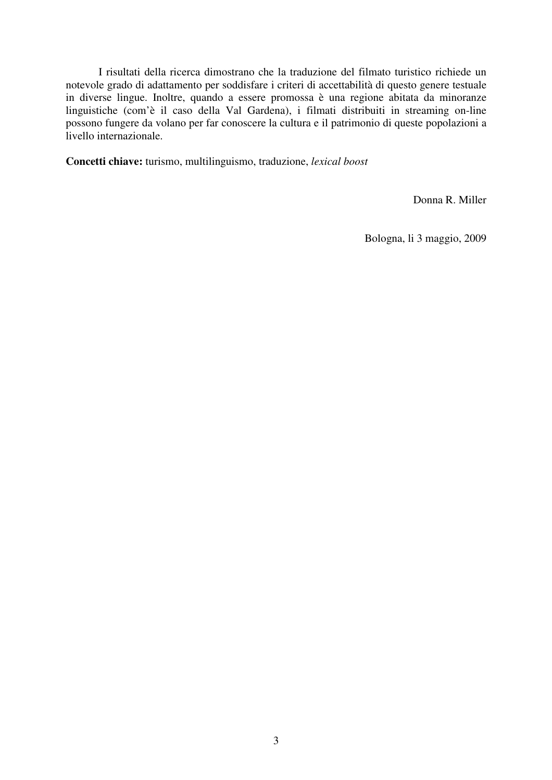I risultati della ricerca dimostrano che la traduzione del filmato turistico richiede un notevole grado di adattamento per soddisfare i criteri di accettabilità di questo genere testuale in diverse lingue. Inoltre, quando a essere promossa è una regione abitata da minoranze linguistiche (com'è il caso della Val Gardena), i filmati distribuiti in streaming on-line possono fungere da volano per far conoscere la cultura e il patrimonio di queste popolazioni a livello internazionale.

**Concetti chiave:** turismo, multilinguismo, traduzione, *lexical boost*

Donna R. Miller

Bologna, li 3 maggio, 2009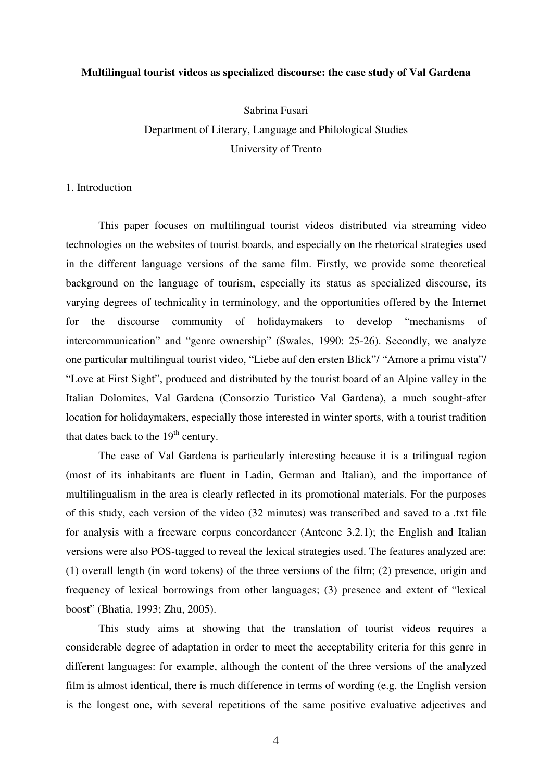#### **Multilingual tourist videos as specialized discourse: the case study of Val Gardena**

Sabrina Fusari

# Department of Literary, Language and Philological Studies University of Trento

1. Introduction

This paper focuses on multilingual tourist videos distributed via streaming video technologies on the websites of tourist boards, and especially on the rhetorical strategies used in the different language versions of the same film. Firstly, we provide some theoretical background on the language of tourism, especially its status as specialized discourse, its varying degrees of technicality in terminology, and the opportunities offered by the Internet for the discourse community of holidaymakers to develop "mechanisms of intercommunication" and "genre ownership" (Swales, 1990: 25-26). Secondly, we analyze one particular multilingual tourist video, "Liebe auf den ersten Blick"/ "Amore a prima vista"/ "Love at First Sight", produced and distributed by the tourist board of an Alpine valley in the Italian Dolomites, Val Gardena (Consorzio Turistico Val Gardena), a much sought-after location for holidaymakers, especially those interested in winter sports, with a tourist tradition that dates back to the  $19<sup>th</sup>$  century.

The case of Val Gardena is particularly interesting because it is a trilingual region (most of its inhabitants are fluent in Ladin, German and Italian), and the importance of multilingualism in the area is clearly reflected in its promotional materials. For the purposes of this study, each version of the video (32 minutes) was transcribed and saved to a .txt file for analysis with a freeware corpus concordancer (Antconc 3.2.1); the English and Italian versions were also POS-tagged to reveal the lexical strategies used. The features analyzed are: (1) overall length (in word tokens) of the three versions of the film; (2) presence, origin and frequency of lexical borrowings from other languages; (3) presence and extent of "lexical boost" (Bhatia, 1993; Zhu, 2005).

This study aims at showing that the translation of tourist videos requires a considerable degree of adaptation in order to meet the acceptability criteria for this genre in different languages: for example, although the content of the three versions of the analyzed film is almost identical, there is much difference in terms of wording (e.g. the English version is the longest one, with several repetitions of the same positive evaluative adjectives and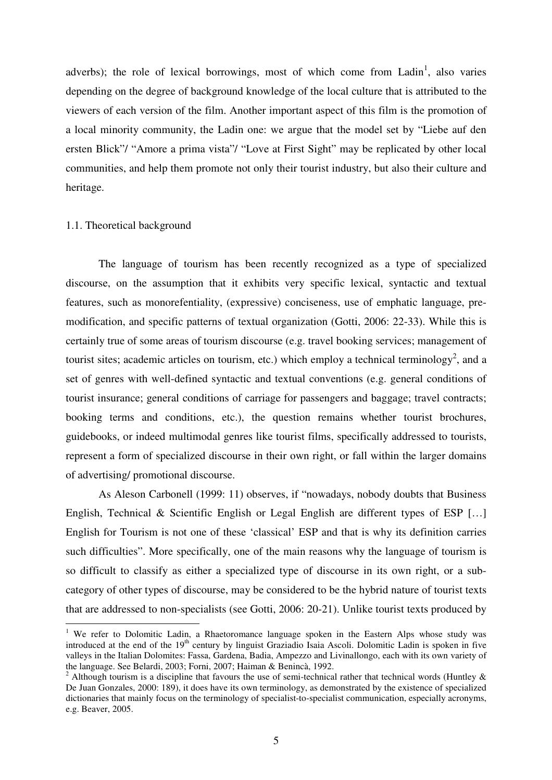adverbs); the role of lexical borrowings, most of which come from Ladin<sup>1</sup>, also varies depending on the degree of background knowledge of the local culture that is attributed to the viewers of each version of the film. Another important aspect of this film is the promotion of a local minority community, the Ladin one: we argue that the model set by "Liebe auf den ersten Blick"/ "Amore a prima vista"/ "Love at First Sight" may be replicated by other local communities, and help them promote not only their tourist industry, but also their culture and heritage.

#### 1.1. Theoretical background

The language of tourism has been recently recognized as a type of specialized discourse, on the assumption that it exhibits very specific lexical, syntactic and textual features, such as monorefentiality, (expressive) conciseness, use of emphatic language, premodification, and specific patterns of textual organization (Gotti, 2006: 22-33). While this is certainly true of some areas of tourism discourse (e.g. travel booking services; management of tourist sites; academic articles on tourism, etc.) which employ a technical terminology<sup>2</sup>, and a set of genres with well-defined syntactic and textual conventions (e.g. general conditions of tourist insurance; general conditions of carriage for passengers and baggage; travel contracts; booking terms and conditions, etc.), the question remains whether tourist brochures, guidebooks, or indeed multimodal genres like tourist films, specifically addressed to tourists, represent a form of specialized discourse in their own right, or fall within the larger domains of advertising/ promotional discourse.

As Aleson Carbonell (1999: 11) observes, if "nowadays, nobody doubts that Business English, Technical & Scientific English or Legal English are different types of ESP […] English for Tourism is not one of these 'classical' ESP and that is why its definition carries such difficulties". More specifically, one of the main reasons why the language of tourism is so difficult to classify as either a specialized type of discourse in its own right, or a subcategory of other types of discourse, may be considered to be the hybrid nature of tourist texts that are addressed to non-specialists (see Gotti, 2006: 20-21). Unlike tourist texts produced by

<sup>&</sup>lt;sup>1</sup> We refer to Dolomitic Ladin, a Rhaetoromance language spoken in the Eastern Alps whose study was introduced at the end of the 19<sup>th</sup> century by linguist Graziadio Isaia Ascoli. Dolomitic Ladin is spoken in five valleys in the Italian Dolomites: Fassa, Gardena, Badia, Ampezzo and Livinallongo, each with its own variety of the language. See Belardi, 2003; Forni, 2007; Haiman & Benincà, 1992.

<sup>&</sup>lt;sup>2</sup> Although tourism is a discipline that favours the use of semi-technical rather that technical words (Huntley  $\&$ De Juan Gonzales, 2000: 189), it does have its own terminology, as demonstrated by the existence of specialized dictionaries that mainly focus on the terminology of specialist-to-specialist communication, especially acronyms, e.g. Beaver, 2005.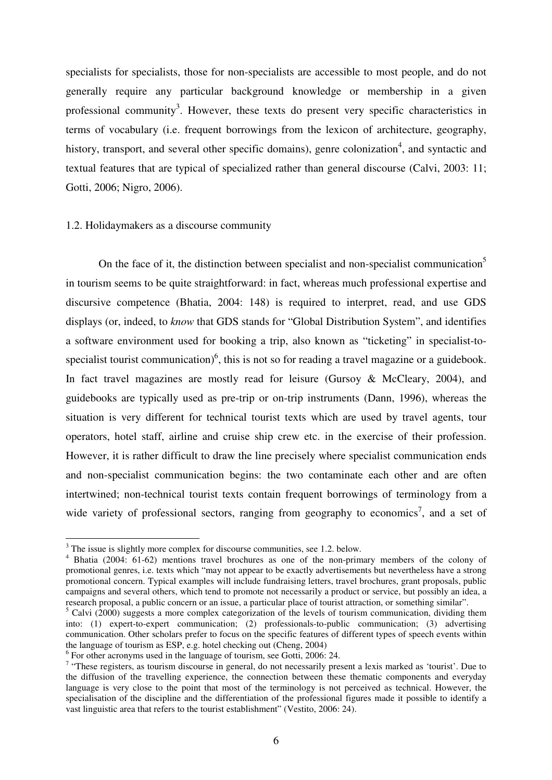specialists for specialists, those for non-specialists are accessible to most people, and do not generally require any particular background knowledge or membership in a given professional community<sup>3</sup>. However, these texts do present very specific characteristics in terms of vocabulary (i.e. frequent borrowings from the lexicon of architecture, geography, history, transport, and several other specific domains), genre colonization<sup>4</sup>, and syntactic and textual features that are typical of specialized rather than general discourse (Calvi, 2003: 11; Gotti, 2006; Nigro, 2006).

#### 1.2. Holidaymakers as a discourse community

On the face of it, the distinction between specialist and non-specialist communication<sup>5</sup> in tourism seems to be quite straightforward: in fact, whereas much professional expertise and discursive competence (Bhatia, 2004: 148) is required to interpret, read, and use GDS displays (or, indeed, to *know* that GDS stands for "Global Distribution System", and identifies a software environment used for booking a trip, also known as "ticketing" in specialist-tospecialist tourist communication)<sup>6</sup>, this is not so for reading a travel magazine or a guidebook. In fact travel magazines are mostly read for leisure (Gursoy & McCleary, 2004), and guidebooks are typically used as pre-trip or on-trip instruments (Dann, 1996), whereas the situation is very different for technical tourist texts which are used by travel agents, tour operators, hotel staff, airline and cruise ship crew etc. in the exercise of their profession. However, it is rather difficult to draw the line precisely where specialist communication ends and non-specialist communication begins: the two contaminate each other and are often intertwined; non-technical tourist texts contain frequent borrowings of terminology from a wide variety of professional sectors, ranging from geography to economics<sup>7</sup>, and a set of

 $\overline{a}$ 

 $3$  The issue is slightly more complex for discourse communities, see 1.2. below.

<sup>&</sup>lt;sup>4</sup> Bhatia (2004: 61-62) mentions travel brochures as one of the non-primary members of the colony of promotional genres, i.e. texts which "may not appear to be exactly advertisements but nevertheless have a strong promotional concern. Typical examples will include fundraising letters, travel brochures, grant proposals, public campaigns and several others, which tend to promote not necessarily a product or service, but possibly an idea, a research proposal, a public concern or an issue, a particular place of tourist attraction, or something similar".

 $5$  Calvi (2000) suggests a more complex categorization of the levels of tourism communication, dividing them into: (1) expert-to-expert communication; (2) professionals-to-public communication; (3) advertising communication. Other scholars prefer to focus on the specific features of different types of speech events within the language of tourism as ESP, e.g. hotel checking out (Cheng, 2004)

<sup>&</sup>lt;sup>6</sup> For other acronyms used in the language of tourism, see Gotti, 2006: 24.

 $7$  "These registers, as tourism discourse in general, do not necessarily present a lexis marked as 'tourist'. Due to the diffusion of the travelling experience, the connection between these thematic components and everyday language is very close to the point that most of the terminology is not perceived as technical. However, the specialisation of the discipline and the differentiation of the professional figures made it possible to identify a vast linguistic area that refers to the tourist establishment" (Vestito, 2006: 24).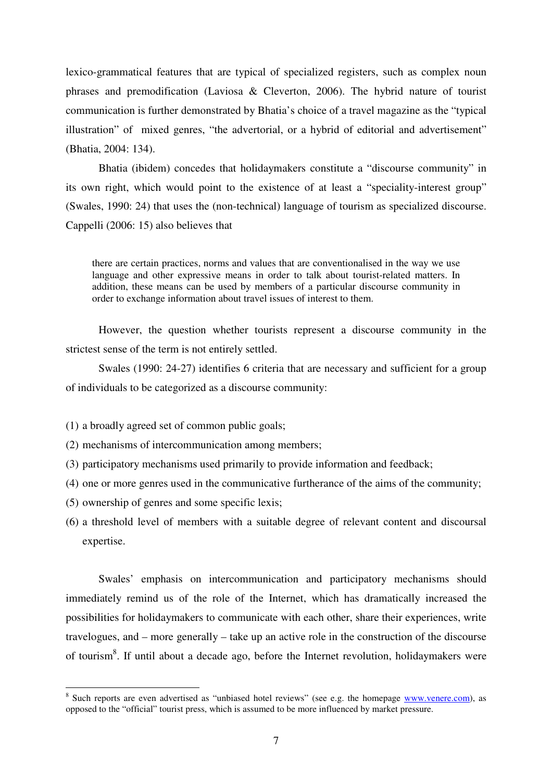lexico-grammatical features that are typical of specialized registers, such as complex noun phrases and premodification (Laviosa & Cleverton, 2006). The hybrid nature of tourist communication is further demonstrated by Bhatia's choice of a travel magazine as the "typical illustration" of mixed genres, "the advertorial, or a hybrid of editorial and advertisement" (Bhatia, 2004: 134).

Bhatia (ibidem) concedes that holidaymakers constitute a "discourse community" in its own right, which would point to the existence of at least a "speciality-interest group" (Swales, 1990: 24) that uses the (non-technical) language of tourism as specialized discourse. Cappelli (2006: 15) also believes that

there are certain practices, norms and values that are conventionalised in the way we use language and other expressive means in order to talk about tourist-related matters. In addition, these means can be used by members of a particular discourse community in order to exchange information about travel issues of interest to them.

However, the question whether tourists represent a discourse community in the strictest sense of the term is not entirely settled.

Swales (1990: 24-27) identifies 6 criteria that are necessary and sufficient for a group of individuals to be categorized as a discourse community:

(1) a broadly agreed set of common public goals;

(2) mechanisms of intercommunication among members;

- (3) participatory mechanisms used primarily to provide information and feedback;
- (4) one or more genres used in the communicative furtherance of the aims of the community;
- (5) ownership of genres and some specific lexis;
- (6) a threshold level of members with a suitable degree of relevant content and discoursal expertise.

Swales' emphasis on intercommunication and participatory mechanisms should immediately remind us of the role of the Internet, which has dramatically increased the possibilities for holidaymakers to communicate with each other, share their experiences, write travelogues, and – more generally – take up an active role in the construction of the discourse of tourism<sup>8</sup>. If until about a decade ago, before the Internet revolution, holidaymakers were

<sup>&</sup>lt;sup>8</sup> Such reports are even advertised as "unbiased hotel reviews" (see e.g. the homepage www.venere.com), as opposed to the "official" tourist press, which is assumed to be more influenced by market pressure.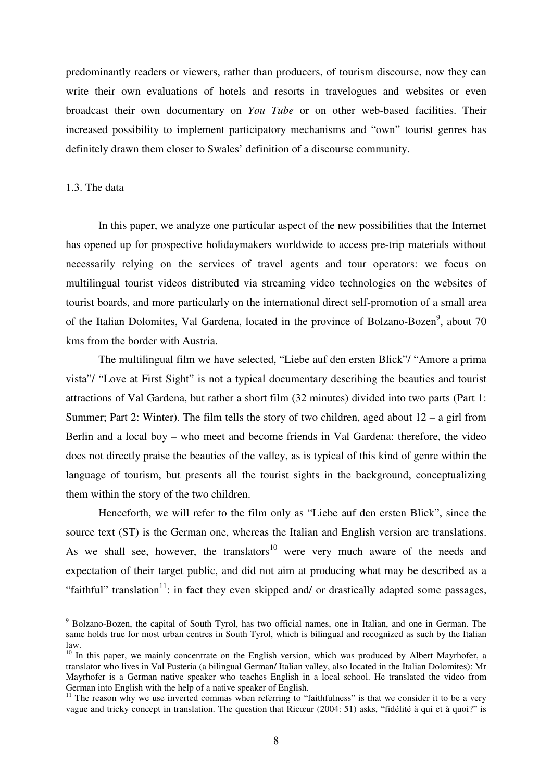predominantly readers or viewers, rather than producers, of tourism discourse, now they can write their own evaluations of hotels and resorts in travelogues and websites or even broadcast their own documentary on *You Tube* or on other web-based facilities. Their increased possibility to implement participatory mechanisms and "own" tourist genres has definitely drawn them closer to Swales' definition of a discourse community.

#### 1.3. The data

 $\overline{a}$ 

In this paper, we analyze one particular aspect of the new possibilities that the Internet has opened up for prospective holidaymakers worldwide to access pre-trip materials without necessarily relying on the services of travel agents and tour operators: we focus on multilingual tourist videos distributed via streaming video technologies on the websites of tourist boards, and more particularly on the international direct self-promotion of a small area of the Italian Dolomites, Val Gardena, located in the province of Bolzano-Bozen<sup>9</sup>, about 70 kms from the border with Austria.

The multilingual film we have selected, "Liebe auf den ersten Blick"/ "Amore a prima vista"/ "Love at First Sight" is not a typical documentary describing the beauties and tourist attractions of Val Gardena, but rather a short film (32 minutes) divided into two parts (Part 1: Summer; Part 2: Winter). The film tells the story of two children, aged about  $12 - a$  girl from Berlin and a local boy – who meet and become friends in Val Gardena: therefore, the video does not directly praise the beauties of the valley, as is typical of this kind of genre within the language of tourism, but presents all the tourist sights in the background, conceptualizing them within the story of the two children.

Henceforth, we will refer to the film only as "Liebe auf den ersten Blick", since the source text (ST) is the German one, whereas the Italian and English version are translations. As we shall see, however, the translators<sup>10</sup> were very much aware of the needs and expectation of their target public, and did not aim at producing what may be described as a "faithful" translation<sup>11</sup>: in fact they even skipped and/ or drastically adapted some passages,

<sup>&</sup>lt;sup>9</sup> Bolzano-Bozen, the capital of South Tyrol, has two official names, one in Italian, and one in German. The same holds true for most urban centres in South Tyrol, which is bilingual and recognized as such by the Italian law.

 $10$  In this paper, we mainly concentrate on the English version, which was produced by Albert Mayrhofer, a translator who lives in Val Pusteria (a bilingual German/ Italian valley, also located in the Italian Dolomites): Mr Mayrhofer is a German native speaker who teaches English in a local school. He translated the video from German into English with the help of a native speaker of English.

<sup>&</sup>lt;sup>11</sup> The reason why we use inverted commas when referring to "faithfulness" is that we consider it to be a very vague and tricky concept in translation. The question that Ricœur (2004: 51) asks, "fidélité à qui et à quoi?" is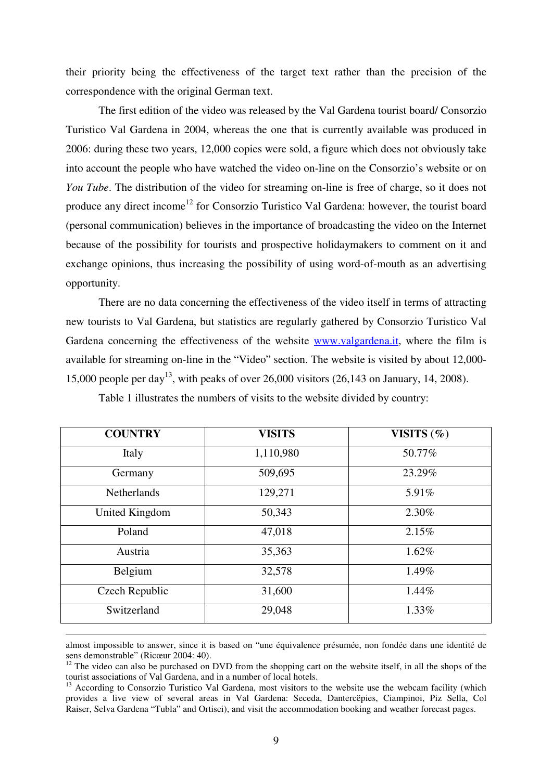their priority being the effectiveness of the target text rather than the precision of the correspondence with the original German text.

The first edition of the video was released by the Val Gardena tourist board/ Consorzio Turistico Val Gardena in 2004, whereas the one that is currently available was produced in 2006: during these two years, 12,000 copies were sold, a figure which does not obviously take into account the people who have watched the video on-line on the Consorzio's website or on *You Tube*. The distribution of the video for streaming on-line is free of charge, so it does not produce any direct income<sup>12</sup> for Consorzio Turistico Val Gardena: however, the tourist board (personal communication) believes in the importance of broadcasting the video on the Internet because of the possibility for tourists and prospective holidaymakers to comment on it and exchange opinions, thus increasing the possibility of using word-of-mouth as an advertising opportunity.

There are no data concerning the effectiveness of the video itself in terms of attracting new tourists to Val Gardena, but statistics are regularly gathered by Consorzio Turistico Val Gardena concerning the effectiveness of the website www.valgardena.it, where the film is available for streaming on-line in the "Video" section. The website is visited by about 12,000- 15,000 people per day<sup>13</sup>, with peaks of over 26,000 visitors  $(26,143)$  on January, 14, 2008).

| <b>COUNTRY</b>     | <b>VISITS</b> | VISITS $(\% )$ |
|--------------------|---------------|----------------|
| Italy              | 1,110,980     | 50.77%         |
| Germany            | 509,695       | 23.29%         |
| <b>Netherlands</b> | 129,271       | 5.91%          |
| United Kingdom     | 50,343        | 2.30%          |
| Poland             | 47,018        | 2.15%          |
| Austria            | 35,363        | 1.62%          |
| Belgium            | 32,578        | 1.49%          |
| Czech Republic     | 31,600        | 1.44%          |
| Switzerland        | 29,048        | 1.33%          |

Table 1 illustrates the numbers of visits to the website divided by country:

almost impossible to answer, since it is based on "une équivalence présumée, non fondée dans une identité de sens demonstrable" (Ricœur 2004: 40).

 $\overline{a}$ 

 $12$  The video can also be purchased on DVD from the shopping cart on the website itself, in all the shops of the tourist associations of Val Gardena, and in a number of local hotels.

<sup>13</sup> According to Consorzio Turistico Val Gardena, most visitors to the website use the webcam facility (which provides a live view of several areas in Val Gardena: Seceda, Dantercëpies, Ciampinoi, Piz Sella, Col Raiser, Selva Gardena "Tubla" and Ortisei), and visit the accommodation booking and weather forecast pages.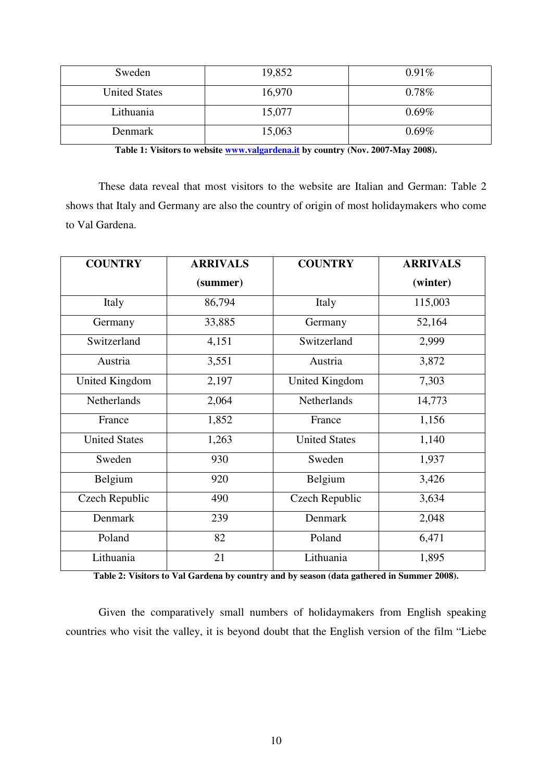| Sweden               | 19,852 | 0.91%    |
|----------------------|--------|----------|
| <b>United States</b> | 16,970 | $0.78\%$ |
| Lithuania            | 15,077 | $0.69\%$ |
| Denmark              | 15,063 | $0.69\%$ |

**Table 1: Visitors to website www.valgardena.it by country (Nov. 2007-May 2008).** 

These data reveal that most visitors to the website are Italian and German: Table 2 shows that Italy and Germany are also the country of origin of most holidaymakers who come to Val Gardena.

| <b>COUNTRY</b>       | <b>ARRIVALS</b> | <b>COUNTRY</b>        | <b>ARRIVALS</b> |
|----------------------|-----------------|-----------------------|-----------------|
|                      | (summer)        |                       | (winter)        |
| Italy                | 86,794          | Italy                 | 115,003         |
| Germany              | 33,885          | Germany               | 52,164          |
| Switzerland          | 4,151           | Switzerland           | 2,999           |
| Austria              | 3,551           | Austria               | 3,872           |
| United Kingdom       | 2,197           | <b>United Kingdom</b> | 7,303           |
| <b>Netherlands</b>   | 2,064           | Netherlands           | 14,773          |
| France               | 1,852           | France                | 1,156           |
| <b>United States</b> | 1,263           | <b>United States</b>  | 1,140           |
| Sweden               | 930             | Sweden                | 1,937           |
| Belgium              | 920             | Belgium               | 3,426           |
| Czech Republic       | 490             | Czech Republic        | 3,634           |
| Denmark              | 239             | Denmark               | 2,048           |
| Poland               | 82              | Poland                | 6,471           |
| Lithuania            | 21              | Lithuania             | 1,895           |

**Table 2: Visitors to Val Gardena by country and by season (data gathered in Summer 2008).** 

Given the comparatively small numbers of holidaymakers from English speaking countries who visit the valley, it is beyond doubt that the English version of the film "Liebe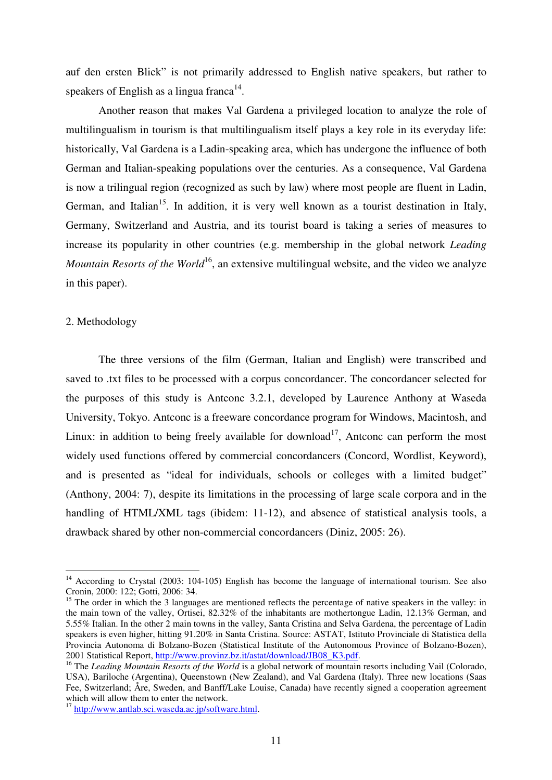auf den ersten Blick" is not primarily addressed to English native speakers, but rather to speakers of English as a lingua franca $^{14}$ .

Another reason that makes Val Gardena a privileged location to analyze the role of multilingualism in tourism is that multilingualism itself plays a key role in its everyday life: historically, Val Gardena is a Ladin-speaking area, which has undergone the influence of both German and Italian-speaking populations over the centuries. As a consequence, Val Gardena is now a trilingual region (recognized as such by law) where most people are fluent in Ladin, German, and Italian<sup>15</sup>. In addition, it is very well known as a tourist destination in Italy, Germany, Switzerland and Austria, and its tourist board is taking a series of measures to increase its popularity in other countries (e.g. membership in the global network *Leading Mountain Resorts of the World*<sup>16</sup>, an extensive multilingual website, and the video we analyze in this paper).

#### 2. Methodology

 $\overline{a}$ 

The three versions of the film (German, Italian and English) were transcribed and saved to .txt files to be processed with a corpus concordancer. The concordancer selected for the purposes of this study is Antconc 3.2.1, developed by Laurence Anthony at Waseda University, Tokyo. Antconc is a freeware concordance program for Windows, Macintosh, and Linux: in addition to being freely available for download<sup>17</sup>, Antconc can perform the most widely used functions offered by commercial concordancers (Concord, Wordlist, Keyword), and is presented as "ideal for individuals, schools or colleges with a limited budget" (Anthony, 2004: 7), despite its limitations in the processing of large scale corpora and in the handling of HTML/XML tags (ibidem: 11-12), and absence of statistical analysis tools, a drawback shared by other non-commercial concordancers (Diniz, 2005: 26).

<sup>&</sup>lt;sup>14</sup> According to Crystal (2003: 104-105) English has become the language of international tourism. See also Cronin, 2000: 122; Gotti, 2006: 34.

<sup>&</sup>lt;sup>15</sup> The order in which the 3 languages are mentioned reflects the percentage of native speakers in the valley: in the main town of the valley, Ortisei, 82.32% of the inhabitants are mothertongue Ladin, 12.13% German, and 5.55% Italian. In the other 2 main towns in the valley, Santa Cristina and Selva Gardena, the percentage of Ladin speakers is even higher, hitting 91.20% in Santa Cristina. Source: ASTAT, Istituto Provinciale di Statistica della Provincia Autonoma di Bolzano-Bozen (Statistical Institute of the Autonomous Province of Bolzano-Bozen), 2001 Statistical Report, http://www.provinz.bz.it/astat/download/JB08\_K3.pdf.

<sup>&</sup>lt;sup>16</sup> The *Leading Mountain Resorts of the World* is a global network of mountain resorts including Vail (Colorado, USA), Bariloche (Argentina), Queenstown (New Zealand), and Val Gardena (Italy). Three new locations (Saas Fee, Switzerland; Åre, Sweden, and Banff/Lake Louise, Canada) have recently signed a cooperation agreement which will allow them to enter the network.

<sup>&</sup>lt;sup>17</sup> http://www.antlab.sci.waseda.ac.jp/software.html.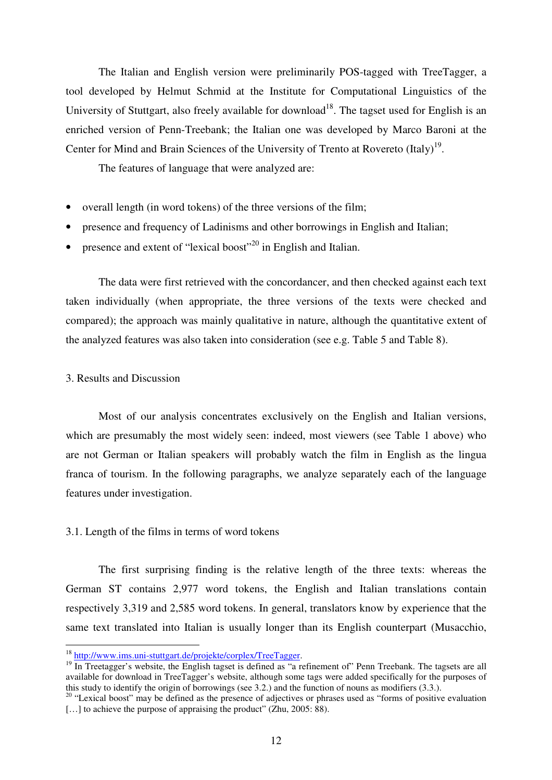The Italian and English version were preliminarily POS-tagged with TreeTagger, a tool developed by Helmut Schmid at the Institute for Computational Linguistics of the University of Stuttgart, also freely available for download<sup>18</sup>. The tagset used for English is an enriched version of Penn-Treebank; the Italian one was developed by Marco Baroni at the Center for Mind and Brain Sciences of the University of Trento at Rovereto  $(Italy)^{19}$ .

The features of language that were analyzed are:

- overall length (in word tokens) of the three versions of the film;
- presence and frequency of Ladinisms and other borrowings in English and Italian;
- presence and extent of "lexical boost"<sup>20</sup> in English and Italian.

The data were first retrieved with the concordancer, and then checked against each text taken individually (when appropriate, the three versions of the texts were checked and compared); the approach was mainly qualitative in nature, although the quantitative extent of the analyzed features was also taken into consideration (see e.g. Table 5 and Table 8).

#### 3. Results and Discussion

 $\overline{a}$ 

Most of our analysis concentrates exclusively on the English and Italian versions, which are presumably the most widely seen: indeed, most viewers (see Table 1 above) who are not German or Italian speakers will probably watch the film in English as the lingua franca of tourism. In the following paragraphs, we analyze separately each of the language features under investigation.

#### 3.1. Length of the films in terms of word tokens

The first surprising finding is the relative length of the three texts: whereas the German ST contains 2,977 word tokens, the English and Italian translations contain respectively 3,319 and 2,585 word tokens. In general, translators know by experience that the same text translated into Italian is usually longer than its English counterpart (Musacchio,

<sup>18</sup> http://www.ims.uni-stuttgart.de/projekte/corplex/TreeTagger.

 $19$  In Treetagger's website, the English tagset is defined as "a refinement of" Penn Treebank. The tagsets are all available for download in TreeTagger's website, although some tags were added specifically for the purposes of this study to identify the origin of borrowings (see 3.2.) and the function of nouns as modifiers (3.3.).

<sup>&</sup>lt;sup>20</sup> "Lexical boost" may be defined as the presence of adjectives or phrases used as "forms of positive evaluation [...] to achieve the purpose of appraising the product" (Zhu, 2005: 88).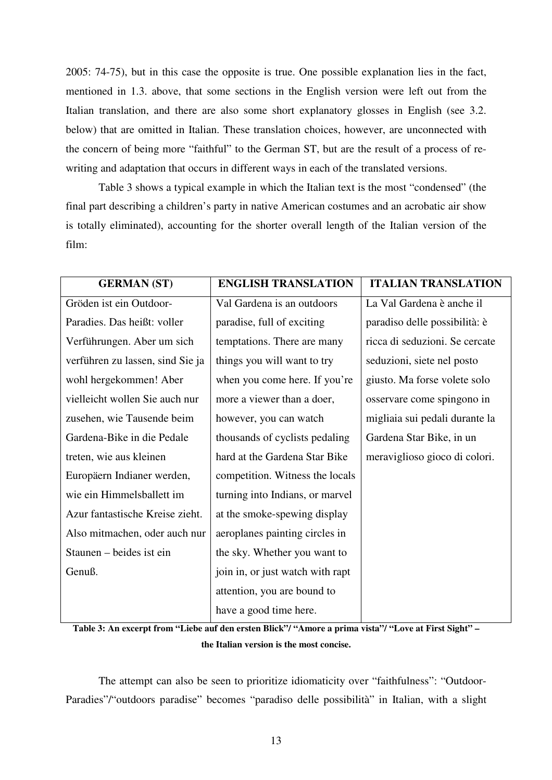2005: 74-75), but in this case the opposite is true. One possible explanation lies in the fact, mentioned in 1.3. above, that some sections in the English version were left out from the Italian translation, and there are also some short explanatory glosses in English (see 3.2. below) that are omitted in Italian. These translation choices, however, are unconnected with the concern of being more "faithful" to the German ST, but are the result of a process of rewriting and adaptation that occurs in different ways in each of the translated versions.

Table 3 shows a typical example in which the Italian text is the most "condensed" (the final part describing a children's party in native American costumes and an acrobatic air show is totally eliminated), accounting for the shorter overall length of the Italian version of the film:

| <b>GERMAN (ST)</b>               | <b>ENGLISH TRANSLATION</b>       | <b>ITALIAN TRANSLATION</b>     |
|----------------------------------|----------------------------------|--------------------------------|
| Gröden ist ein Outdoor-          | Val Gardena is an outdoors       | La Val Gardena è anche il      |
| Paradies. Das heißt: voller      | paradise, full of exciting       | paradiso delle possibilità: è  |
| Verführungen. Aber um sich       | temptations. There are many      | ricca di seduzioni. Se cercate |
| verführen zu lassen, sind Sie ja | things you will want to try      | seduzioni, siete nel posto     |
| wohl hergekommen! Aber           | when you come here. If you're    | giusto. Ma forse volete solo   |
| vielleicht wollen Sie auch nur   | more a viewer than a doer,       | osservare come spingono in     |
| zusehen, wie Tausende beim       | however, you can watch           | migliaia sui pedali durante la |
| Gardena-Bike in die Pedale       | thousands of cyclists pedaling   | Gardena Star Bike, in un       |
| treten, wie aus kleinen          | hard at the Gardena Star Bike    | meraviglioso gioco di colori.  |
| Europäern Indianer werden,       | competition. Witness the locals  |                                |
| wie ein Himmelsballett im        | turning into Indians, or marvel  |                                |
| Azur fantastische Kreise zieht.  | at the smoke-spewing display     |                                |
| Also mitmachen, oder auch nur    | aeroplanes painting circles in   |                                |
| Staunen – beides ist ein         | the sky. Whether you want to     |                                |
| Genuß.                           | join in, or just watch with rapt |                                |
|                                  | attention, you are bound to      |                                |
|                                  | have a good time here.           |                                |

**Table 3: An excerpt from "Liebe auf den ersten Blick"/ "Amore a prima vista"/ "Love at First Sight" – the Italian version is the most concise.** 

The attempt can also be seen to prioritize idiomaticity over "faithfulness": "Outdoor-Paradies"/"outdoors paradise" becomes "paradiso delle possibilità" in Italian, with a slight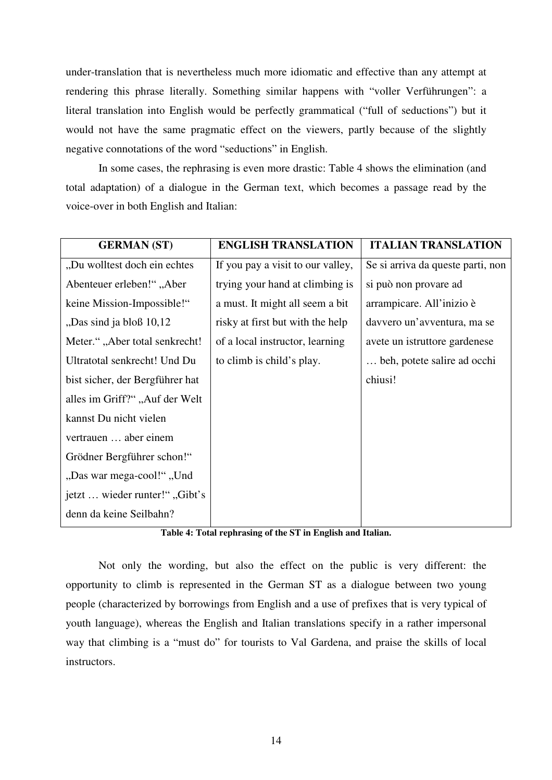under-translation that is nevertheless much more idiomatic and effective than any attempt at rendering this phrase literally. Something similar happens with "voller Verführungen": a literal translation into English would be perfectly grammatical ("full of seductions") but it would not have the same pragmatic effect on the viewers, partly because of the slightly negative connotations of the word "seductions" in English.

In some cases, the rephrasing is even more drastic: Table 4 shows the elimination (and total adaptation) of a dialogue in the German text, which becomes a passage read by the voice-over in both English and Italian:

| <b>GERMAN (ST)</b>                   | <b>ENGLISH TRANSLATION</b>        | <b>ITALIAN TRANSLATION</b>        |
|--------------------------------------|-----------------------------------|-----------------------------------|
| "Du wolltest doch ein echtes         | If you pay a visit to our valley, | Se si arriva da queste parti, non |
| Abenteuer erleben!", Aber            | trying your hand at climbing is   | si può non provare ad             |
| keine Mission-Impossible!"           | a must. It might all seem a bit   | arrampicare. All'inizio è         |
| "Das sind ja bloß 10,12              | risky at first but with the help  | davvero un'avventura, ma se       |
| Meter.", "Aber total senkrecht!      | of a local instructor, learning   | avete un istruttore gardenese     |
| Ultratotal senkrecht! Und Du         | to climb is child's play.         | beh, potete salire ad occhi       |
| bist sicher, der Bergführer hat      |                                   | chiusi!                           |
| alles im Griff?", Auf der Welt       |                                   |                                   |
| kannst Du nicht vielen               |                                   |                                   |
| vertrauen  aber einem                |                                   |                                   |
| Grödner Bergführer schon!"           |                                   |                                   |
| "Das war mega-cool!" "Und            |                                   |                                   |
| <i>ietzt</i> wieder runter!", Gibt's |                                   |                                   |
| denn da keine Seilbahn?              |                                   |                                   |

**Table 4: Total rephrasing of the ST in English and Italian.** 

Not only the wording, but also the effect on the public is very different: the opportunity to climb is represented in the German ST as a dialogue between two young people (characterized by borrowings from English and a use of prefixes that is very typical of youth language), whereas the English and Italian translations specify in a rather impersonal way that climbing is a "must do" for tourists to Val Gardena, and praise the skills of local instructors.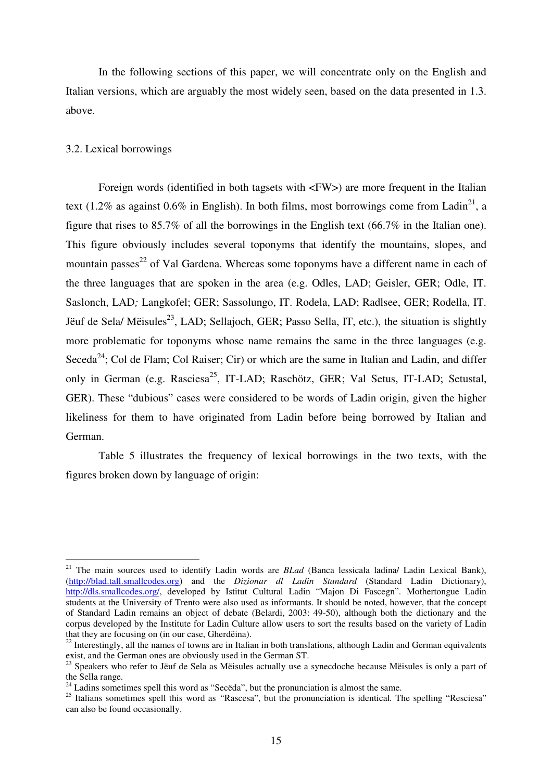In the following sections of this paper, we will concentrate only on the English and Italian versions, which are arguably the most widely seen, based on the data presented in 1.3. above.

#### 3.2. Lexical borrowings

 $\overline{a}$ 

Foreign words (identified in both tagsets with <FW>) are more frequent in the Italian text (1.2% as against 0.6% in English). In both films, most borrowings come from Ladin<sup>21</sup>, a figure that rises to 85.7% of all the borrowings in the English text (66.7% in the Italian one). This figure obviously includes several toponyms that identify the mountains, slopes, and mountain passes<sup>22</sup> of Val Gardena. Whereas some toponyms have a different name in each of the three languages that are spoken in the area (e.g. Odles, LAD; Geisler, GER; Odle, IT. Saslonch, LAD*;* Langkofel; GER; Sassolungo, IT. Rodela, LAD; Radlsee, GER; Rodella, IT. Jëuf de Sela/ Mëisules<sup>23</sup>, LAD; Sellajoch, GER; Passo Sella, IT, etc.), the situation is slightly more problematic for toponyms whose name remains the same in the three languages (e.g. Seceda<sup>24</sup>; Col de Flam; Col Raiser; Cir) or which are the same in Italian and Ladin, and differ only in German (e.g. Rasciesa<sup>25</sup>, IT-LAD; Raschötz, GER; Val Setus, IT-LAD; Setustal, GER). These "dubious" cases were considered to be words of Ladin origin, given the higher likeliness for them to have originated from Ladin before being borrowed by Italian and German.

Table 5 illustrates the frequency of lexical borrowings in the two texts, with the figures broken down by language of origin:

<sup>21</sup> The main sources used to identify Ladin words are *BLad* (Banca lessicala ladina/ Ladin Lexical Bank), (http://blad.tall.smallcodes.org) and the *Dizionar dl Ladin Standard* (Standard Ladin Dictionary), http://dls.smallcodes.org/, developed by Istitut Cultural Ladin "Majon Di Fascegn". Mothertongue Ladin students at the University of Trento were also used as informants. It should be noted, however, that the concept of Standard Ladin remains an object of debate (Belardi, 2003: 49-50), although both the dictionary and the corpus developed by the Institute for Ladin Culture allow users to sort the results based on the variety of Ladin that they are focusing on (in our case, Gherdëina).

<sup>&</sup>lt;sup>22</sup> Interestingly, all the names of towns are in Italian in both translations, although Ladin and German equivalents exist, and the German ones are obviously used in the German ST.

<sup>&</sup>lt;sup>23</sup> Speakers who refer to Jëuf de Sela as Mëisules actually use a synecdoche because Mëisules is only a part of the Sella range.

<sup>&</sup>lt;sup>24</sup> Ladins sometimes spell this word as "Secëda", but the pronunciation is almost the same.

<sup>&</sup>lt;sup>25</sup> Italians sometimes spell this word as "Rascesa", but the pronunciation is identical. The spelling "Resciesa" can also be found occasionally.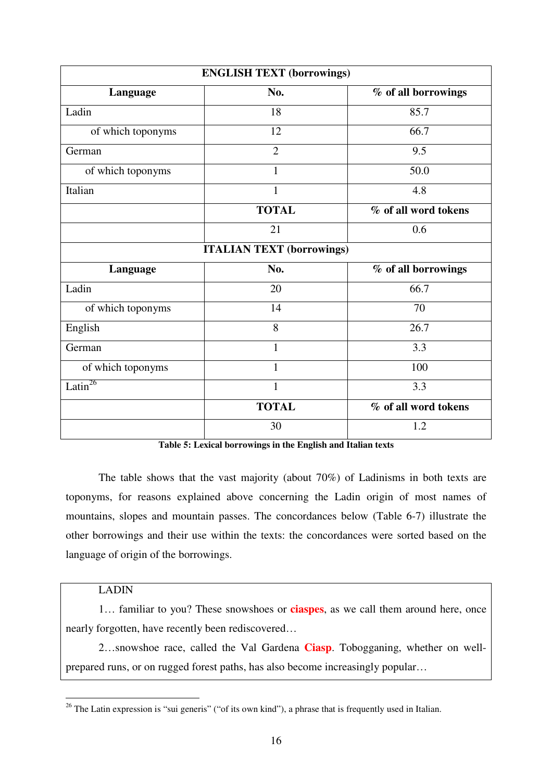| <b>ENGLISH TEXT (borrowings)</b> |                                  |                      |  |
|----------------------------------|----------------------------------|----------------------|--|
| Language                         | No.                              | % of all borrowings  |  |
| Ladin                            | 18                               | 85.7                 |  |
| of which toponyms                | 12                               | 66.7                 |  |
| German                           | $\overline{2}$                   | 9.5                  |  |
| of which toponyms                | 1                                | 50.0                 |  |
| Italian                          | 1                                | 4.8                  |  |
|                                  | <b>TOTAL</b>                     | % of all word tokens |  |
|                                  | 21                               | 0.6                  |  |
|                                  | <b>ITALIAN TEXT (borrowings)</b> |                      |  |
| Language                         | No.                              | % of all borrowings  |  |
| Ladin                            | 20                               | 66.7                 |  |
| of which toponyms                | 14                               | 70                   |  |
| English                          | 8                                | 26.7                 |  |
| German                           | $\mathbf{1}$                     | 3.3                  |  |
| of which toponyms                | 1                                | 100                  |  |
| Latin <sup>26</sup>              | $\mathbf{1}$                     | 3.3                  |  |
|                                  | <b>TOTAL</b>                     | % of all word tokens |  |
|                                  | 30                               | 1.2                  |  |

**Table 5: Lexical borrowings in the English and Italian texts** 

The table shows that the vast majority (about 70%) of Ladinisms in both texts are toponyms, for reasons explained above concerning the Ladin origin of most names of mountains, slopes and mountain passes. The concordances below (Table 6-7) illustrate the other borrowings and their use within the texts: the concordances were sorted based on the language of origin of the borrowings.

## LADIN

 $\overline{a}$ 

1… familiar to you? These snowshoes or **ciaspes**, as we call them around here, once nearly forgotten, have recently been rediscovered…

2…snowshoe race, called the Val Gardena **Ciasp**. Tobogganing, whether on wellprepared runs, or on rugged forest paths, has also become increasingly popular…

<sup>&</sup>lt;sup>26</sup> The Latin expression is "sui generis" ("of its own kind"), a phrase that is frequently used in Italian.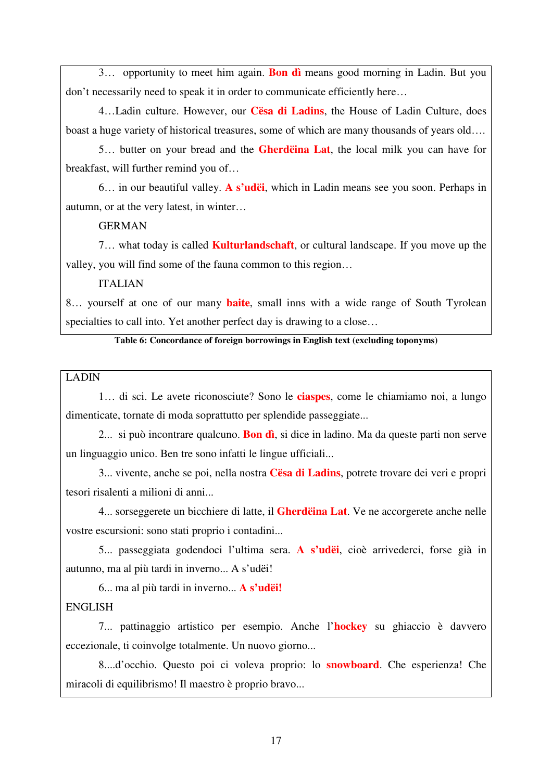3… opportunity to meet him again. **Bon dì** means good morning in Ladin. But you don't necessarily need to speak it in order to communicate efficiently here…

4…Ladin culture. However, our **Cësa di Ladins**, the House of Ladin Culture, does boast a huge variety of historical treasures, some of which are many thousands of years old….

5… butter on your bread and the **Gherdëina Lat**, the local milk you can have for breakfast, will further remind you of…

6… in our beautiful valley. **A s'udëi**, which in Ladin means see you soon. Perhaps in autumn, or at the very latest, in winter…

GERMAN

7… what today is called **Kulturlandschaft**, or cultural landscape. If you move up the valley, you will find some of the fauna common to this region…

ITALIAN

8… yourself at one of our many **baite**, small inns with a wide range of South Tyrolean specialties to call into. Yet another perfect day is drawing to a close...

**Table 6: Concordance of foreign borrowings in English text (excluding toponyms)** 

## LADIN

1… di sci. Le avete riconosciute? Sono le **ciaspes**, come le chiamiamo noi, a lungo dimenticate, tornate di moda soprattutto per splendide passeggiate...

2... si può incontrare qualcuno. **Bon dì**, si dice in ladino. Ma da queste parti non serve un linguaggio unico. Ben tre sono infatti le lingue ufficiali...

3... vivente, anche se poi, nella nostra **Cësa di Ladins**, potrete trovare dei veri e propri tesori risalenti a milioni di anni...

4... sorseggerete un bicchiere di latte, il **Gherdëina Lat**. Ve ne accorgerete anche nelle vostre escursioni: sono stati proprio i contadini...

5... passeggiata godendoci l'ultima sera. **A s'udëi**, cioè arrivederci, forse già in autunno, ma al più tardi in inverno... A s'udëi!

6... ma al più tardi in inverno... **A s'udëi!** 

### ENGLISH

7... pattinaggio artistico per esempio. Anche l'**hockey** su ghiaccio è davvero eccezionale, ti coinvolge totalmente. Un nuovo giorno...

8....d'occhio. Questo poi ci voleva proprio: lo **snowboard**. Che esperienza! Che miracoli di equilibrismo! Il maestro è proprio bravo...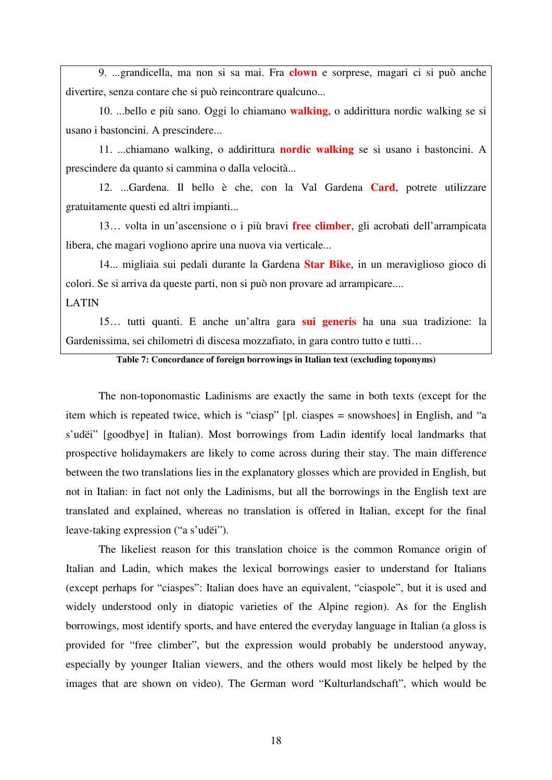9. ...grandicella, ma non si sa mai. Fra **clown** e sorprese, magari ci si può anche divertire, senza contare che si può reincontrare qualcuno...

10. ...bello e più sano. Oggi lo chiamano **walking**, o addirittura nordic walking se si usano i bastoncini. A prescindere...

11. ...chiamano walking, o addirittura **nordic walking** se si usano i bastoncini. A prescindere da quanto si cammina o dalla velocità...

12. ...Gardena. Il bello è che, con la Val Gardena **Card**, potrete utilizzare gratuitamente questi ed altri impianti...

13… volta in un'ascensione o i più bravi **free climber**, gli acrobati dell'arrampicata libera, che magari vogliono aprire una nuova via verticale...

14... migliaia sui pedali durante la Gardena **Star Bike**, in un meraviglioso gioco di colori. Se si arriva da queste parti, non si può non provare ad arrampicare....

#### LATIN

15… tutti quanti. E anche un'altra gara **sui generis** ha una sua tradizione: la Gardenissima, sei chilometri di discesa mozzafiato, in gara contro tutto e tutti…

**Table 7: Concordance of foreign borrowings in Italian text (excluding toponyms)** 

The non-toponomastic Ladinisms are exactly the same in both texts (except for the item which is repeated twice, which is "ciasp" [pl. ciaspes = snowshoes] in English, and "a s'udëi" [goodbye] in Italian). Most borrowings from Ladin identify local landmarks that prospective holidaymakers are likely to come across during their stay. The main difference between the two translations lies in the explanatory glosses which are provided in English, but not in Italian: in fact not only the Ladinisms, but all the borrowings in the English text are translated and explained, whereas no translation is offered in Italian, except for the final leave-taking expression ("a s'udëi").

The likeliest reason for this translation choice is the common Romance origin of Italian and Ladin, which makes the lexical borrowings easier to understand for Italians (except perhaps for "ciaspes": Italian does have an equivalent, "ciaspole", but it is used and widely understood only in diatopic varieties of the Alpine region). As for the English borrowings, most identify sports, and have entered the everyday language in Italian (a gloss is provided for "free climber", but the expression would probably be understood anyway, especially by younger Italian viewers, and the others would most likely be helped by the images that are shown on video). The German word "Kulturlandschaft", which would be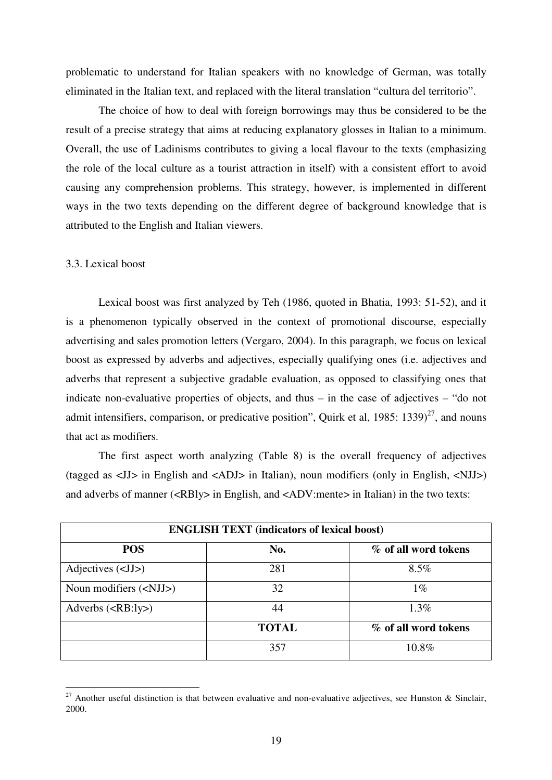problematic to understand for Italian speakers with no knowledge of German, was totally eliminated in the Italian text, and replaced with the literal translation "cultura del territorio".

The choice of how to deal with foreign borrowings may thus be considered to be the result of a precise strategy that aims at reducing explanatory glosses in Italian to a minimum. Overall, the use of Ladinisms contributes to giving a local flavour to the texts (emphasizing the role of the local culture as a tourist attraction in itself) with a consistent effort to avoid causing any comprehension problems. This strategy, however, is implemented in different ways in the two texts depending on the different degree of background knowledge that is attributed to the English and Italian viewers.

#### 3.3. Lexical boost

 $\overline{a}$ 

Lexical boost was first analyzed by Teh (1986, quoted in Bhatia, 1993: 51-52), and it is a phenomenon typically observed in the context of promotional discourse, especially advertising and sales promotion letters (Vergaro, 2004). In this paragraph, we focus on lexical boost as expressed by adverbs and adjectives, especially qualifying ones (i.e. adjectives and adverbs that represent a subjective gradable evaluation, as opposed to classifying ones that indicate non-evaluative properties of objects, and thus – in the case of adjectives – "do not admit intensifiers, comparison, or predicative position", Quirk et al,  $1985: 1339$ <sup>27</sup>, and nouns that act as modifiers.

The first aspect worth analyzing (Table 8) is the overall frequency of adjectives (tagged as <JJ> in English and <ADJ> in Italian), noun modifiers (only in English, <NJJ>) and adverbs of manner (<RBly> in English, and <ADV:mente> in Italian) in the two texts:

| <b>ENGLISH TEXT (indicators of lexical boost)</b> |              |                      |  |
|---------------------------------------------------|--------------|----------------------|--|
| <b>POS</b>                                        | No.          | % of all word tokens |  |
| Adjectives $(\langle JJ \rangle)$                 | 281          | $8.5\%$              |  |
| Noun modifiers $(\langle NJJ \rangle)$            | 32           | $1\%$                |  |
| Adverbs $(RB:ly)$                                 | 44           | $1.3\%$              |  |
|                                                   | <b>TOTAL</b> | % of all word tokens |  |
|                                                   | 357          | 10.8%                |  |

<sup>&</sup>lt;sup>27</sup> Another useful distinction is that between evaluative and non-evaluative adjectives, see Hunston & Sinclair, 2000.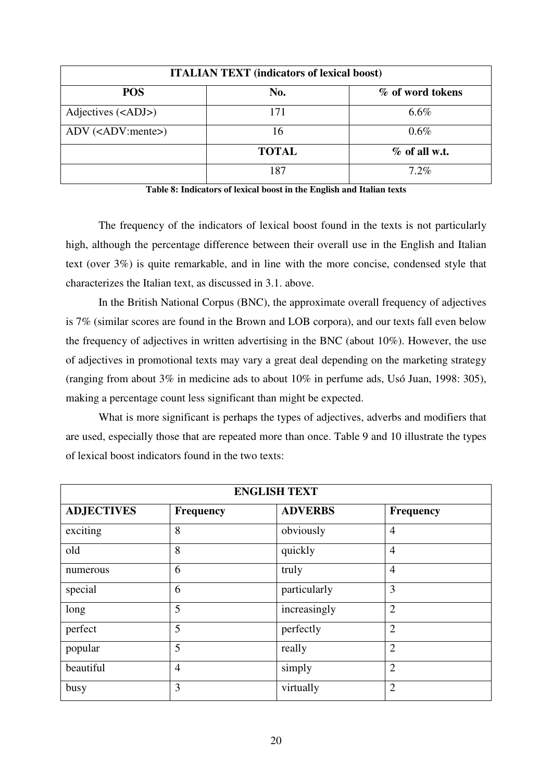| <b>ITALIAN TEXT</b> (indicators of lexical boost) |              |                 |  |  |
|---------------------------------------------------|--------------|-----------------|--|--|
| <b>POS</b><br>No.<br>% of word tokens             |              |                 |  |  |
| Adjectives ( <adj>)</adj>                         | 171          | 6.6%            |  |  |
| $ADV$ (< $ADV$ :mente>)                           | 16           | $0.6\%$         |  |  |
|                                                   | <b>TOTAL</b> | $%$ of all w.t. |  |  |
|                                                   | 187          | $7.2\%$         |  |  |

**Table 8: Indicators of lexical boost in the English and Italian texts**

The frequency of the indicators of lexical boost found in the texts is not particularly high, although the percentage difference between their overall use in the English and Italian text (over 3%) is quite remarkable, and in line with the more concise, condensed style that characterizes the Italian text, as discussed in 3.1. above.

In the British National Corpus (BNC), the approximate overall frequency of adjectives is 7% (similar scores are found in the Brown and LOB corpora), and our texts fall even below the frequency of adjectives in written advertising in the BNC (about 10%). However, the use of adjectives in promotional texts may vary a great deal depending on the marketing strategy (ranging from about 3% in medicine ads to about 10% in perfume ads, Usó Juan, 1998: 305), making a percentage count less significant than might be expected.

What is more significant is perhaps the types of adjectives, adverbs and modifiers that are used, especially those that are repeated more than once. Table 9 and 10 illustrate the types of lexical boost indicators found in the two texts:

| <b>ENGLISH TEXT</b> |                  |                |                |
|---------------------|------------------|----------------|----------------|
| <b>ADJECTIVES</b>   | <b>Frequency</b> | <b>ADVERBS</b> | Frequency      |
| exciting            | 8                | obviously      | $\overline{4}$ |
| old                 | 8                | quickly        | $\overline{4}$ |
| numerous            | 6                | truly          | $\overline{4}$ |
| special             | 6                | particularly   | 3              |
| long                | 5                | increasingly   | $\overline{2}$ |
| perfect             | 5                | perfectly      | $\overline{2}$ |
| popular             | 5                | really         | $\overline{2}$ |
| beautiful           | $\overline{4}$   | simply         | $\overline{2}$ |
| busy                | 3                | virtually      | $\overline{2}$ |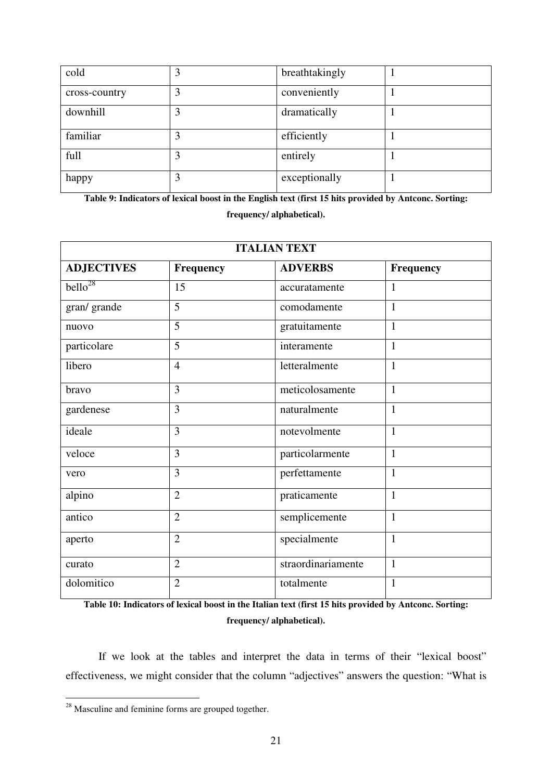| cold          | 3 | breathtakingly |  |
|---------------|---|----------------|--|
| cross-country | 3 | conveniently   |  |
| downhill      | 3 | dramatically   |  |
| familiar      | 3 | efficiently    |  |
| full          |   | entirely       |  |
| happy         | 3 | exceptionally  |  |

**Table 9: Indicators of lexical boost in the English text (first 15 hits provided by Antconc. Sorting: frequency/ alphabetical).**

| <b>ITALIAN TEXT</b> |                |                    |                  |
|---------------------|----------------|--------------------|------------------|
| <b>ADJECTIVES</b>   | Frequency      | <b>ADVERBS</b>     | <b>Frequency</b> |
| bello <sup>28</sup> | 15             | accuratamente      | $\mathbf{1}$     |
| gran/ grande        | $\overline{5}$ | comodamente        | $\mathbf{1}$     |
| nuovo               | 5              | gratuitamente      | $\mathbf{1}$     |
| particolare         | 5              | interamente        | $\mathbf{1}$     |
| libero              | $\overline{4}$ | letteralmente      | $\mathbf{1}$     |
| bravo               | 3              | meticolosamente    | $\mathbf{1}$     |
| gardenese           | 3              | naturalmente       | $\mathbf{1}$     |
| ideale              | 3              | notevolmente       | $\mathbf{1}$     |
| veloce              | 3              | particolarmente    | $\mathbf{1}$     |
| vero                | 3              | perfettamente      | $\mathbf{1}$     |
| alpino              | $\overline{2}$ | praticamente       | $\mathbf{1}$     |
| antico              | $\overline{2}$ | semplicemente      | $\mathbf{1}$     |
| aperto              | $\overline{2}$ | specialmente       | $\mathbf{1}$     |
| curato              | $\overline{2}$ | straordinariamente | $\mathbf{1}$     |
| dolomitico          | $\overline{2}$ | totalmente         | $\mathbf{1}$     |

**Table 10: Indicators of lexical boost in the Italian text (first 15 hits provided by Antconc. Sorting: frequency/ alphabetical).**

If we look at the tables and interpret the data in terms of their "lexical boost" effectiveness, we might consider that the column "adjectives" answers the question: "What is

 $\overline{a}$ 

 $2<sup>28</sup>$  Masculine and feminine forms are grouped together.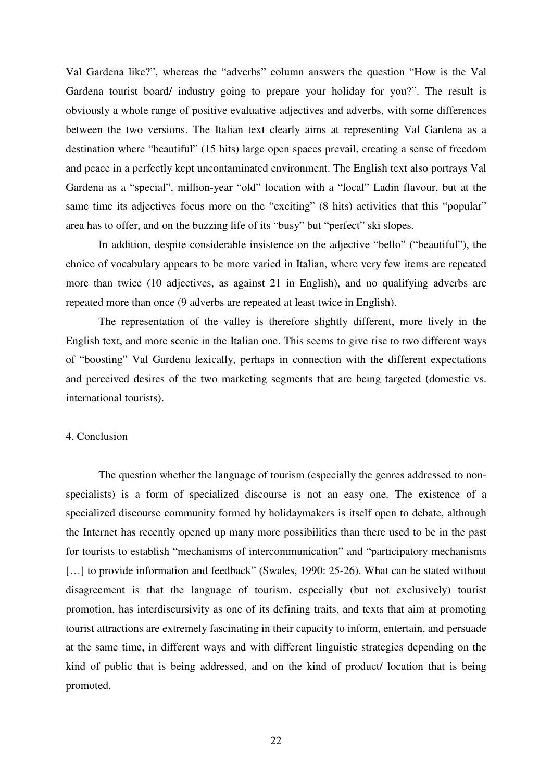Val Gardena like?", whereas the "adverbs" column answers the question "How is the Val Gardena tourist board/ industry going to prepare your holiday for you?". The result is obviously a whole range of positive evaluative adjectives and adverbs, with some differences between the two versions. The Italian text clearly aims at representing Val Gardena as a destination where "beautiful" (15 hits) large open spaces prevail, creating a sense of freedom and peace in a perfectly kept uncontaminated environment. The English text also portrays Val Gardena as a "special", million-year "old" location with a "local" Ladin flavour, but at the same time its adjectives focus more on the "exciting" (8 hits) activities that this "popular" area has to offer, and on the buzzing life of its "busy" but "perfect" ski slopes.

In addition, despite considerable insistence on the adjective "bello" ("beautiful"), the choice of vocabulary appears to be more varied in Italian, where very few items are repeated more than twice (10 adjectives, as against 21 in English), and no qualifying adverbs are repeated more than once (9 adverbs are repeated at least twice in English).

The representation of the valley is therefore slightly different, more lively in the English text, and more scenic in the Italian one. This seems to give rise to two different ways of "boosting" Val Gardena lexically, perhaps in connection with the different expectations and perceived desires of the two marketing segments that are being targeted (domestic vs. international tourists).

#### 4. Conclusion

The question whether the language of tourism (especially the genres addressed to nonspecialists) is a form of specialized discourse is not an easy one. The existence of a specialized discourse community formed by holidaymakers is itself open to debate, although the Internet has recently opened up many more possibilities than there used to be in the past for tourists to establish "mechanisms of intercommunication" and "participatory mechanisms [...] to provide information and feedback" (Swales, 1990: 25-26). What can be stated without disagreement is that the language of tourism, especially (but not exclusively) tourist promotion, has interdiscursivity as one of its defining traits, and texts that aim at promoting tourist attractions are extremely fascinating in their capacity to inform, entertain, and persuade at the same time, in different ways and with different linguistic strategies depending on the kind of public that is being addressed, and on the kind of product/ location that is being promoted.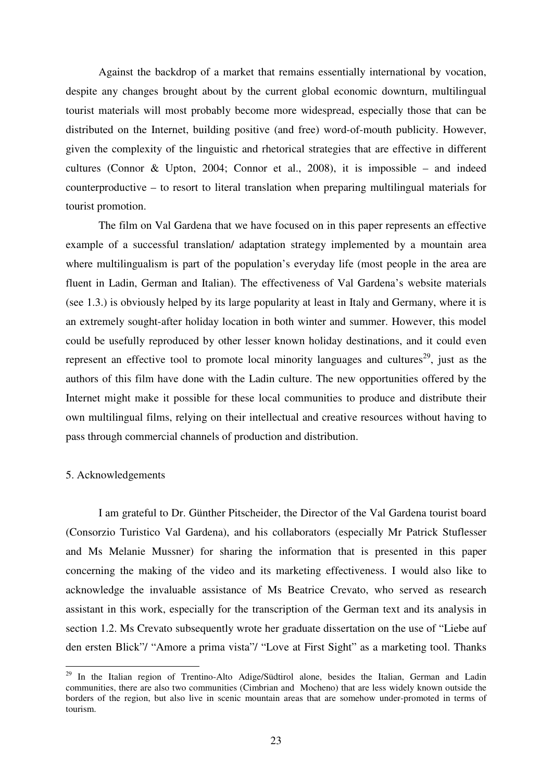Against the backdrop of a market that remains essentially international by vocation, despite any changes brought about by the current global economic downturn, multilingual tourist materials will most probably become more widespread, especially those that can be distributed on the Internet, building positive (and free) word-of-mouth publicity. However, given the complexity of the linguistic and rhetorical strategies that are effective in different cultures (Connor & Upton, 2004; Connor et al., 2008), it is impossible – and indeed counterproductive – to resort to literal translation when preparing multilingual materials for tourist promotion.

The film on Val Gardena that we have focused on in this paper represents an effective example of a successful translation/ adaptation strategy implemented by a mountain area where multilingualism is part of the population's everyday life (most people in the area are fluent in Ladin, German and Italian). The effectiveness of Val Gardena's website materials (see 1.3.) is obviously helped by its large popularity at least in Italy and Germany, where it is an extremely sought-after holiday location in both winter and summer. However, this model could be usefully reproduced by other lesser known holiday destinations, and it could even represent an effective tool to promote local minority languages and cultures<sup>29</sup>, just as the authors of this film have done with the Ladin culture. The new opportunities offered by the Internet might make it possible for these local communities to produce and distribute their own multilingual films, relying on their intellectual and creative resources without having to pass through commercial channels of production and distribution.

#### 5. Acknowledgements

 $\overline{a}$ 

I am grateful to Dr. Günther Pitscheider, the Director of the Val Gardena tourist board (Consorzio Turistico Val Gardena), and his collaborators (especially Mr Patrick Stuflesser and Ms Melanie Mussner) for sharing the information that is presented in this paper concerning the making of the video and its marketing effectiveness. I would also like to acknowledge the invaluable assistance of Ms Beatrice Crevato, who served as research assistant in this work, especially for the transcription of the German text and its analysis in section 1.2. Ms Crevato subsequently wrote her graduate dissertation on the use of "Liebe auf den ersten Blick"/ "Amore a prima vista"/ "Love at First Sight" as a marketing tool. Thanks

<sup>&</sup>lt;sup>29</sup> In the Italian region of Trentino-Alto Adige/Südtirol alone, besides the Italian, German and Ladin communities, there are also two communities (Cimbrian and Mocheno) that are less widely known outside the borders of the region, but also live in scenic mountain areas that are somehow under-promoted in terms of tourism.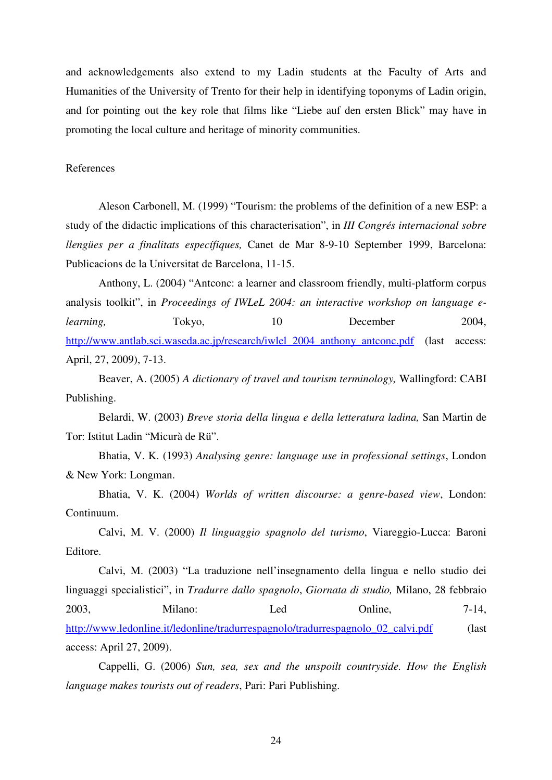and acknowledgements also extend to my Ladin students at the Faculty of Arts and Humanities of the University of Trento for their help in identifying toponyms of Ladin origin, and for pointing out the key role that films like "Liebe auf den ersten Blick" may have in promoting the local culture and heritage of minority communities.

#### References

Aleson Carbonell, M. (1999) "Tourism: the problems of the definition of a new ESP: a study of the didactic implications of this characterisation", in *III Congrés internacional sobre llengües per a finalitats específiques,* Canet de Mar 8-9-10 September 1999, Barcelona: Publicacions de la Universitat de Barcelona, 11-15.

Anthony, L. (2004) "Antconc: a learner and classroom friendly, multi-platform corpus analysis toolkit", in *Proceedings of IWLeL 2004: an interactive workshop on language elearning*, Tokyo, 10 December 2004, http://www.antlab.sci.waseda.ac.jp/research/iwlel\_2004\_anthony\_antconc.pdf (last access: April, 27, 2009), 7-13.

Beaver, A. (2005) *A dictionary of travel and tourism terminology,* Wallingford: CABI Publishing.

Belardi, W. (2003) *Breve storia della lingua e della letteratura ladina,* San Martin de Tor: Istitut Ladin "Micurà de Rü".

Bhatia, V. K. (1993) *Analysing genre: language use in professional settings*, London & New York: Longman.

Bhatia, V. K. (2004) *Worlds of written discourse: a genre-based view*, London: Continuum.

Calvi, M. V. (2000) *Il linguaggio spagnolo del turismo*, Viareggio-Lucca: Baroni Editore.

Calvi, M. (2003) "La traduzione nell'insegnamento della lingua e nello studio dei linguaggi specialistici", in *Tradurre dallo spagnolo*, *Giornata di studio,* Milano, 28 febbraio 2003, Milano: Led Online, 7-14, http://www.ledonline.it/ledonline/tradurrespagnolo/tradurrespagnolo 02 calvi.pdf (last access: April 27, 2009).

Cappelli, G. (2006) *Sun, sea, sex and the unspoilt countryside. How the English language makes tourists out of readers*, Pari: Pari Publishing.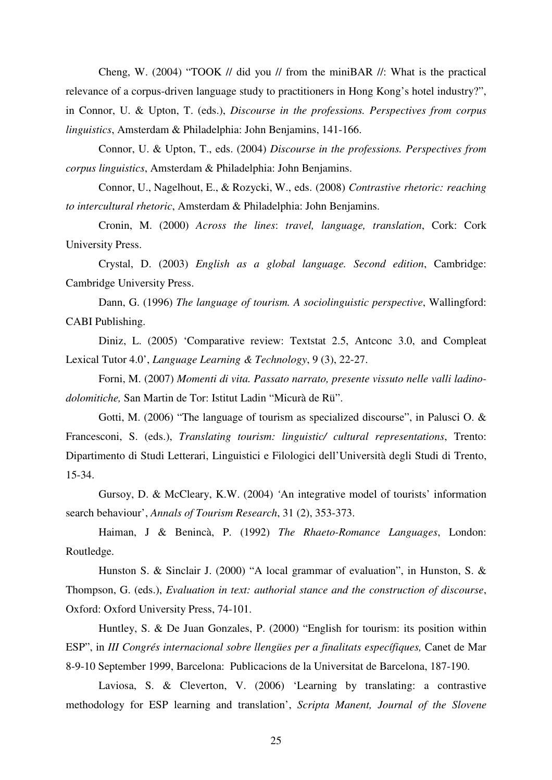Cheng, W. (2004) "TOOK // did you // from the miniBAR //: What is the practical relevance of a corpus-driven language study to practitioners in Hong Kong's hotel industry?", in Connor, U. & Upton, T. (eds.), *Discourse in the professions. Perspectives from corpus linguistics*, Amsterdam & Philadelphia: John Benjamins, 141-166.

Connor, U. & Upton, T., eds. (2004) *Discourse in the professions. Perspectives from corpus linguistics*, Amsterdam & Philadelphia: John Benjamins.

Connor, U., Nagelhout, E., & Rozycki, W., eds. (2008) *Contrastive rhetoric: reaching to intercultural rhetoric*, Amsterdam & Philadelphia: John Benjamins.

Cronin, M. (2000) *Across the lines*: *travel, language, translation*, Cork: Cork University Press.

Crystal, D. (2003) *English as a global language. Second edition*, Cambridge: Cambridge University Press.

Dann, G. (1996) *The language of tourism. A sociolinguistic perspective*, Wallingford: CABI Publishing.

Diniz, L. (2005) 'Comparative review: Textstat 2.5, Antconc 3.0, and Compleat Lexical Tutor 4.0', *Language Learning & Technology*, 9 (3), 22-27.

Forni, M. (2007) *Momenti di vita. Passato narrato, presente vissuto nelle valli ladinodolomitiche,* San Martin de Tor: Istitut Ladin "Micurà de Rü".

Gotti, M. (2006) "The language of tourism as specialized discourse", in Palusci O. & Francesconi, S. (eds.), *Translating tourism: linguistic/ cultural representations*, Trento: Dipartimento di Studi Letterari, Linguistici e Filologici dell'Università degli Studi di Trento, 15-34.

Gursoy, D. & McCleary, K.W. (2004) *'*An integrative model of tourists' information search behaviour', *Annals of Tourism Research*, 31 (2), 353-373.

Haiman, J & Benincà, P. (1992) *The Rhaeto-Romance Languages*, London: Routledge.

Hunston S. & Sinclair J. (2000) "A local grammar of evaluation", in Hunston, S. & Thompson, G. (eds.), *Evaluation in text: authorial stance and the construction of discourse*, Oxford: Oxford University Press, 74-101.

Huntley, S. & De Juan Gonzales, P. (2000) "English for tourism: its position within ESP", in *III Congrés internacional sobre llengües per a finalitats específiques,* Canet de Mar 8-9-10 September 1999, Barcelona: Publicacions de la Universitat de Barcelona, 187-190.

Laviosa, S. & Cleverton, V. (2006) 'Learning by translating: a contrastive methodology for ESP learning and translation', *Scripta Manent, Journal of the Slovene*